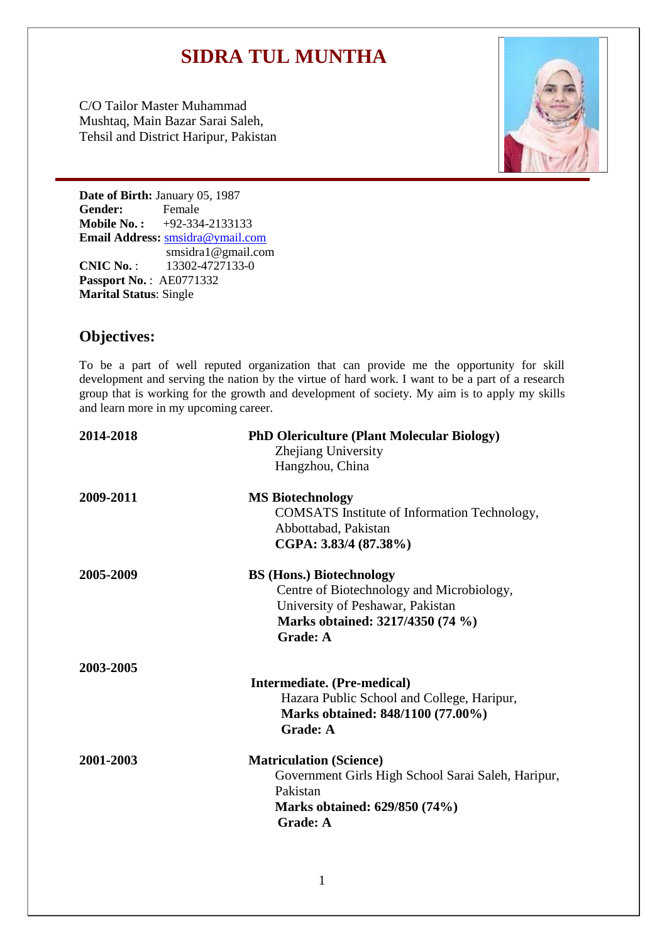# **SIDRA TUL MUNTHA**

C/O Tailor Master Muhammad Mushtaq, Main Bazar Sarai Saleh, Tehsil and District Haripur, Pakistan



**Date of Birth: January 05, 1987<br>
<b>Gender:** Female **Gender: Mobile No. :** +92-334-2133133 **Email Address:** [smsidra@ymail.com](mailto:smsidra@ymail.com) [smsidra1@gmail.com](mailto:smsidra1@gmail.com) **CNIC No.** : 13302-4727133-0

**Passport No.** : AE0771332 **Marital Status**: Single

# **Objectives:**

To be a part of well reputed organization that can provide me the opportunity for skill development and serving the nation by the virtue of hard work. I want to be a part of a research group that is working for the growth and development of society. My aim is to apply my skills and learn more in my upcoming career.

| 2014-2018 | <b>PhD Olericulture (Plant Molecular Biology)</b><br>Zhejiang University<br>Hangzhou, China                                                                             |
|-----------|-------------------------------------------------------------------------------------------------------------------------------------------------------------------------|
| 2009-2011 | <b>MS Biotechnology</b><br>COMSATS Institute of Information Technology,<br>Abbottabad, Pakistan<br>CGPA: 3.83/4 (87.38%)                                                |
| 2005-2009 | <b>BS (Hons.) Biotechnology</b><br>Centre of Biotechnology and Microbiology,<br>University of Peshawar, Pakistan<br>Marks obtained: 3217/4350 (74 %)<br><b>Grade: A</b> |
| 2003-2005 | Intermediate. (Pre-medical)<br>Hazara Public School and College, Haripur,<br>Marks obtained: 848/1100 (77.00%)<br><b>Grade: A</b>                                       |
| 2001-2003 | <b>Matriculation (Science)</b><br>Government Girls High School Sarai Saleh, Haripur,<br>Pakistan<br>Marks obtained: 629/850 (74%)<br><b>Grade: A</b>                    |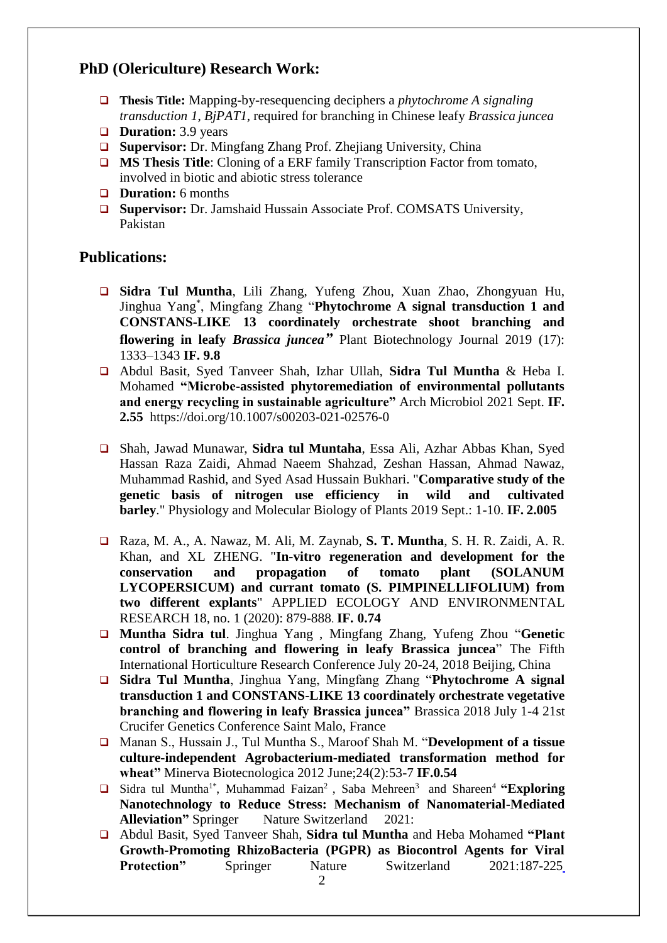# **PhD (Olericulture) Research Work:**

- **Thesis Title:** Mapping-by-resequencing deciphers a *phytochrome A signaling transduction 1*, *BjPAT1*, required for branching in Chinese leafy *Brassica juncea*
- **Duration:** 3.9 years
- □ **Supervisor:** Dr. Mingfang Zhang Prof. Zhejiang University, China
- **MS Thesis Title:** Cloning of a ERF family Transcription Factor from tomato, involved in biotic and abiotic stress tolerance
- **Duration:** 6 months
- □ **Supervisor:** Dr. Jamshaid Hussain Associate Prof. COMSATS University, Pakistan

## **Publications:**

- **Sidra Tul Muntha**, Lili Zhang, Yufeng Zhou, Xuan Zhao, Zhongyuan Hu, Jinghua Yang\* , Mingfang Zhang "**Phytochrome A signal transduction 1 and CONSTANS-LIKE 13 coordinately orchestrate shoot branching and flowering in leafy** *Brassica juncea"* Plant Biotechnology Journal 2019 (17): 1333–1343 **IF. 9.8**
- Abdul Basit, Syed Tanveer Shah, Izhar Ullah, **Sidra Tul Muntha** & Heba I. Mohamed **"Microbe-assisted phytoremediation of environmental pollutants and energy recycling in sustainable agriculture"** Arch Microbiol 2021 Sept. **IF. 2.55** https://doi.org/10.1007/s00203-021-02576-0
- Shah, Jawad Munawar, **Sidra tul Muntaha**, Essa Ali, Azhar Abbas Khan, Syed Hassan Raza Zaidi, Ahmad Naeem Shahzad, Zeshan Hassan, Ahmad Nawaz, Muhammad Rashid, and Syed Asad Hussain Bukhari. "**Comparative study of the genetic basis of nitrogen use efficiency in wild and cultivated barley**." Physiology and Molecular Biology of Plants 2019 Sept.: 1-10. **IF. 2.005**
- Raza, M. A., A. Nawaz, M. Ali, M. Zaynab, **S. T. Muntha**, S. H. R. Zaidi, A. R. Khan, and XL ZHENG. "**In-vitro regeneration and development for the conservation and propagation of tomato plant (SOLANUM LYCOPERSICUM) and currant tomato (S. PIMPINELLIFOLIUM) from two different explants**" APPLIED ECOLOGY AND ENVIRONMENTAL RESEARCH 18, no. 1 (2020): 879-888. **IF. 0.74**
- **Muntha Sidra tul**. [Jinghua Yang](https://www.researchgate.net/scientific-contributions/14275487_Jinghua_Yang?_sg%5B0%5D=Z14Nv2j6kEvbgwkvtlGpJYScROS5tyvCEuDKtkRvJ0iI6Cr2DbuoxZtMSa7CtgrhQd6DoKs.uuy3T4fcAOfr_m6j7NyxAMLWg3BeXt0pycA_37auMSEJy7pECDe7lLeHVaI_5NNsHcOsjTiaK9ucXo1vKCJXLA&_sg%5B1%5D=_81hLHBFt3tz3Az9cdoljbfuhmZuaNaN9AZi6dou2iiVEGRPSRMjD2WrrYflCGErKgWasshHd-ReqoID.GEZtyR_8pc2dxUWMqmOe6hEsPNyETllE3sNjGr9W1_OZA25zEBdgZVquUIsuMAkLKdBN4HJBt77DqjUiVsufaA) , Mingfang Zhang, [Yufeng Zhou](https://www.researchgate.net/scientific-contributions/2151243058_Yufeng_Zhou?_sg%5B0%5D=Z14Nv2j6kEvbgwkvtlGpJYScROS5tyvCEuDKtkRvJ0iI6Cr2DbuoxZtMSa7CtgrhQd6DoKs.uuy3T4fcAOfr_m6j7NyxAMLWg3BeXt0pycA_37auMSEJy7pECDe7lLeHVaI_5NNsHcOsjTiaK9ucXo1vKCJXLA&_sg%5B1%5D=_81hLHBFt3tz3Az9cdoljbfuhmZuaNaN9AZi6dou2iiVEGRPSRMjD2WrrYflCGErKgWasshHd-ReqoID.GEZtyR_8pc2dxUWMqmOe6hEsPNyETllE3sNjGr9W1_OZA25zEBdgZVquUIsuMAkLKdBN4HJBt77DqjUiVsufaA) "**Genetic control of branching and flowering in leafy Brassica juncea**" The Fifth International Horticulture Research Conference July 20-24, 2018 Beijing, China
- **Sidra Tul Muntha**, Jinghua Yang, Mingfang Zhang "**Phytochrome A signal transduction 1 and CONSTANS-LIKE 13 coordinately orchestrate vegetative branching and flowering in leafy Brassica juncea"** Brassica 2018 July 1-4 21st Crucifer Genetics Conference Saint Malo, France
- Manan S., Hussain J., Tul Muntha S., Maroof Shah M. "**Development of a tissue culture-independent Agrobacterium-mediated transformation method for wheat"** Minerva Biotecnologica 2012 June;24(2):53-7 **IF.0.54**
- □ Sidra tul Muntha<sup>1\*</sup>, Muhammad Faizan<sup>2</sup>, Saba Mehreen<sup>3</sup> and Shareen<sup>4</sup> **"Exploring Nanotechnology to Reduce Stress: Mechanism of Nanomaterial-Mediated Alleviation"** Springer Nature Switzerland 2021:
- Abdul Basit, Syed Tanveer Shah, **Sidra tul Muntha** and Heba Mohamed **"Plant Growth-Promoting RhizoBacteria (PGPR) as Biocontrol Agents for Viral Protection"** Springer Nature Switzerland 2021:187-225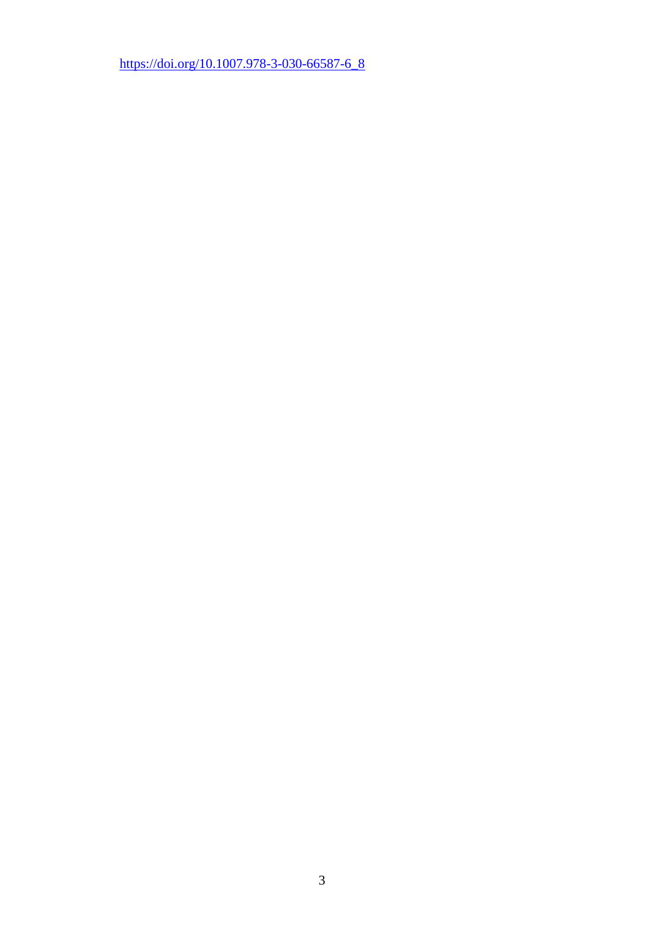[https://doi.org/10.1007.978-3-030-66587-6\\_8](https://doi.org/10.1007.978-3-030-66587-6_8)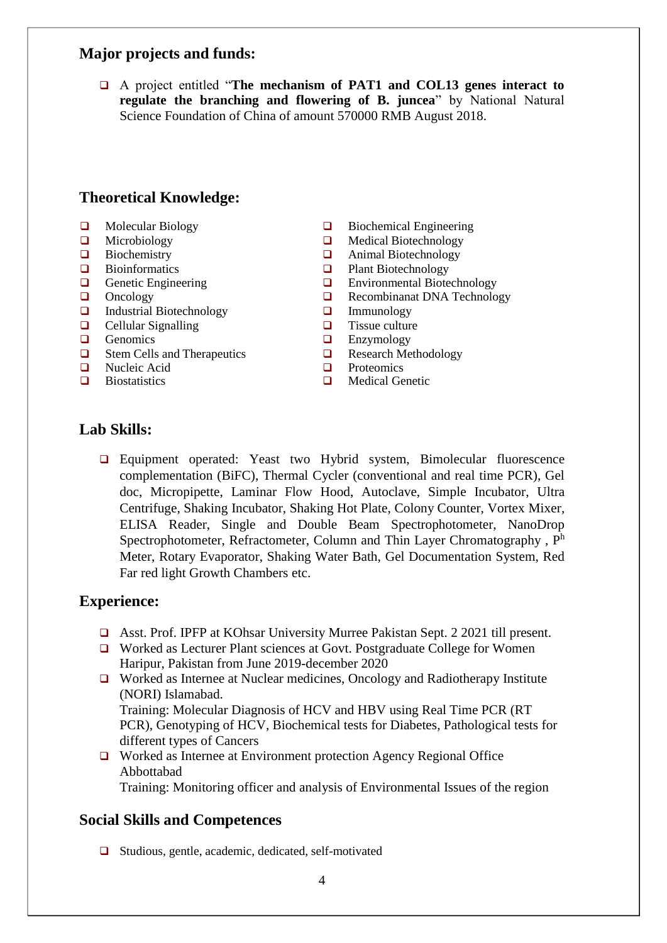#### **Major projects and funds:**

 A project entitled "**The mechanism of PAT1 and COL13 genes interact to regulate the branching and flowering of B. juncea**" by National Natural Science Foundation of China of amount 570000 RMB August 2018.

#### **Theoretical Knowledge:**

- $\Box$  Molecular Biology
- **Q** Microbiology
- $\Box$  Biochemistry
- **Bioinformatics**
- Genetic Engineering
- $\Box$  Oncology
- $\Box$  Industrial Biotechnology
- $\Box$  Cellular Signalling
- $\Box$  Genomics
- Stem Cells and Therapeutics
- **Nucleic Acid**
- $\Box$  Biostatistics
- **Biochemical Engineering**
- □ Medical Biotechnology
- Animal Biotechnology
- **Q** Plant Biotechnology
- **Environmental Biotechnology**
- **Q** Recombinanat DNA Technology
- **Immunology**
- $\Box$  Tissue culture
- **Enzymology**
- **Q** Research Methodology
- **D** Proteomics
- **Q** Medical Genetic

# **Lab Skills:**

 Equipment operated: Yeast two Hybrid system, Bimolecular fluorescence complementation (BiFC), Thermal Cycler (conventional and real time PCR), Gel doc, Micropipette, Laminar Flow Hood, Autoclave, Simple Incubator, Ultra Centrifuge, Shaking Incubator, Shaking Hot Plate, Colony Counter, Vortex Mixer, ELISA Reader, Single and Double Beam Spectrophotometer, NanoDrop Spectrophotometer, Refractometer, Column and Thin Layer Chromatography, Ph Meter, Rotary Evaporator, Shaking Water Bath, Gel Documentation System, Red Far red light Growth Chambers etc.

#### **Experience:**

- Asst. Prof. IPFP at KOhsar University Murree Pakistan Sept. 2 2021 till present.
- Worked as Lecturer Plant sciences at Govt. Postgraduate College for Women Haripur, Pakistan from June 2019-december 2020
- □ Worked as Internee at Nuclear medicines, Oncology and Radiotherapy Institute (NORI) Islamabad. Training: Molecular Diagnosis of HCV and HBV using Real Time PCR (RT

PCR), Genotyping of HCV, Biochemical tests for Diabetes, Pathological tests for different types of Cancers

 Worked as Internee at Environment protection Agency Regional Office Abbottabad

Training: Monitoring officer and analysis of Environmental Issues of the region

## **Social Skills and Competences**

□ Studious, gentle, academic, dedicated, self-motivated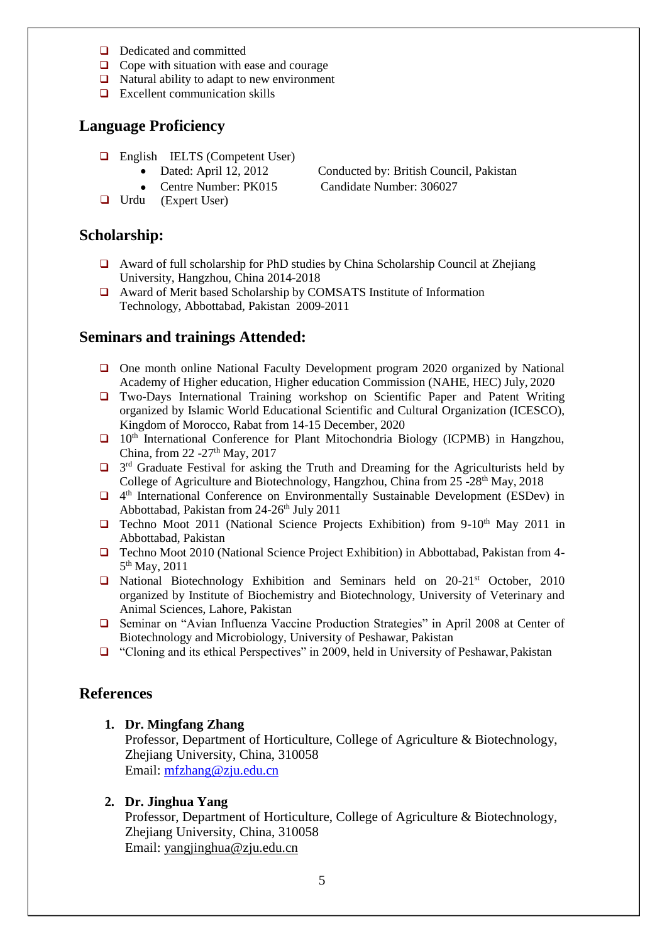- Dedicated and committed
- $\Box$  Cope with situation with ease and courage
- $\Box$  Natural ability to adapt to new environment
- $\Box$  Excellent communication skills

## **Language Proficiency**

- **English IELTS (Competent User)** 
	- Dated: April 12, 2012 Conducted by: British Council, Pakistan
- $\bullet$ Urdu (Expert User) Centre Number: PK015
- Candidate Number: 306027

- **Scholarship:**
	- Award of full scholarship for PhD studies by China Scholarship Council at Zhejiang University, Hangzhou, China 2014-2018
	- Award of Merit based Scholarship by COMSATS Institute of Information Technology, Abbottabad, Pakistan 2009-2011

### **Seminars and trainings Attended:**

- $\Box$  One month online National Faculty Development program 2020 organized by National Academy of Higher education, Higher education Commission (NAHE, HEC) July, 2020
- Two-Days International Training workshop on Scientific Paper and Patent Writing organized by Islamic World Educational Scientific and Cultural Organization (ICESCO), Kingdom of Morocco, Rabat from 14-15 December, 2020
- $\Box$  10<sup>th</sup> International Conference for Plant Mitochondria Biology (ICPMB) in Hangzhou, China, from 22 -27<sup>th</sup> May, 2017
- $\Box$  3<sup>rd</sup> Graduate Festival for asking the Truth and Dreaming for the Agriculturists held by College of Agriculture and Biotechnology, Hangzhou, China from  $25 -28<sup>th</sup>$  May, 2018
- □ 4<sup>th</sup> International Conference on Environmentally Sustainable Development (ESDev) in Abbottabad, Pakistan from 24-26<sup>th</sup> July 2011
- $\Box$  Techno Moot 2011 (National Science Projects Exhibition) from 9-10<sup>th</sup> May 2011 in Abbottabad, Pakistan
- Techno Moot 2010 (National Science Project Exhibition) in Abbottabad, Pakistan from 4- 5<sup>th</sup> May, 2011
- $\Box$  National Biotechnology Exhibition and Seminars held on 20-21<sup>st</sup> October, 2010 organized by Institute of Biochemistry and Biotechnology, University of Veterinary and Animal Sciences, Lahore, Pakistan
- Seminar on "Avian Influenza Vaccine Production Strategies" in April 2008 at Center of Biotechnology and Microbiology, University of Peshawar, Pakistan
- "Cloning and its ethical Perspectives" in 2009, held in University of Peshawar, Pakistan

#### **References**

#### **1. Dr. Mingfang Zhang**

Professor, Department of Horticulture, College of Agriculture & Biotechnology, Zhejiang University, China, 310058 Email: [mfzhang@zju.edu.cn](mailto:mfzhang@zju.edu.cn)

#### **2. Dr. Jinghua Yang**

Professor, Department of Horticulture, College of Agriculture & Biotechnology, Zhejiang University, China, 310058 Email: [yangjinghua@zju.edu.cn](mailto:yangjinghua@zju.edu.cn)